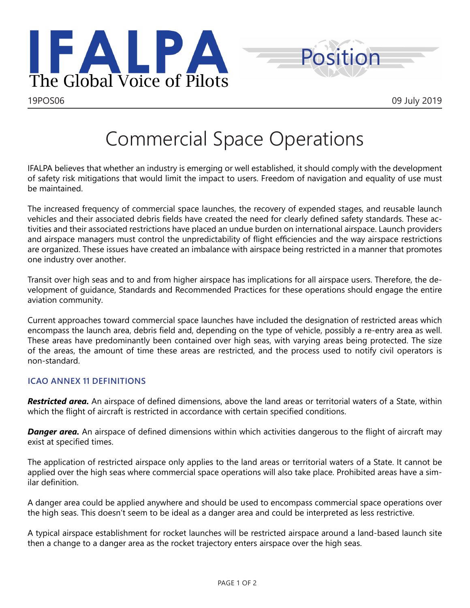



## Commercial Space Operations

IFALPA believes that whether an industry is emerging or well established, it should comply with the development of safety risk mitigations that would limit the impact to users. Freedom of navigation and equality of use must be maintained.

The increased frequency of commercial space launches, the recovery of expended stages, and reusable launch vehicles and their associated debris fields have created the need for clearly defined safety standards. These activities and their associated restrictions have placed an undue burden on international airspace. Launch providers and airspace managers must control the unpredictability of flight efficiencies and the way airspace restrictions are organized. These issues have created an imbalance with airspace being restricted in a manner that promotes one industry over another.

Transit over high seas and to and from higher airspace has implications for all airspace users. Therefore, the development of guidance, Standards and Recommended Practices for these operations should engage the entire aviation community.

Current approaches toward commercial space launches have included the designation of restricted areas which encompass the launch area, debris field and, depending on the type of vehicle, possibly a re-entry area as well. These areas have predominantly been contained over high seas, with varying areas being protected. The size of the areas, the amount of time these areas are restricted, and the process used to notify civil operators is non-standard.

## **ICAO ANNEX 11 DEFINITIONS**

*Restricted area.* An airspace of defined dimensions, above the land areas or territorial waters of a State, within which the flight of aircraft is restricted in accordance with certain specified conditions.

**Danger area.** An airspace of defined dimensions within which activities dangerous to the flight of aircraft may exist at specified times.

The application of restricted airspace only applies to the land areas or territorial waters of a State. It cannot be applied over the high seas where commercial space operations will also take place. Prohibited areas have a similar definition.

A danger area could be applied anywhere and should be used to encompass commercial space operations over the high seas. This doesn't seem to be ideal as a danger area and could be interpreted as less restrictive.

A typical airspace establishment for rocket launches will be restricted airspace around a land-based launch site then a change to a danger area as the rocket trajectory enters airspace over the high seas.